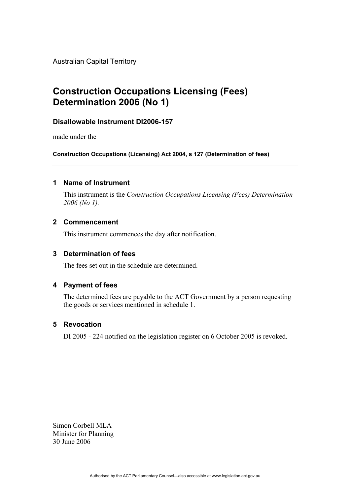Australian Capital Territory

# **Construction Occupations Licensing (Fees) Determination 2006 (No 1)**

## **Disallowable Instrument DI2006-157**

made under the

**Construction Occupations (Licensing) Act 2004, s 127 (Determination of fees)** 

## **1 Name of Instrument**

This instrument is the *Construction Occupations Licensing (Fees) Determination 2006 (No 1).* 

## **2 Commencement**

This instrument commences the day after notification.

## **3 Determination of fees**

The fees set out in the schedule are determined.

## **4 Payment of fees**

The determined fees are payable to the ACT Government by a person requesting the goods or services mentioned in schedule 1.

## **5 Revocation**

DI 2005 - 224 notified on the legislation register on 6 October 2005 is revoked.

Simon Corbell MLA Minister for Planning 30 June 2006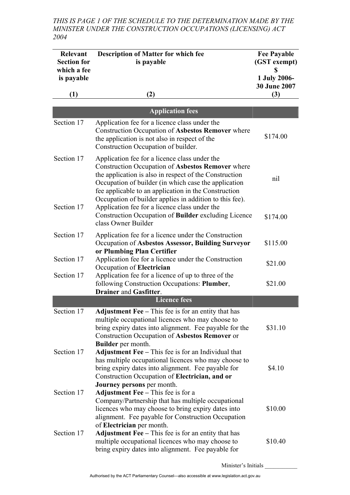*THIS IS PAGE 1 OF THE SCHEDULE TO THE DETERMINATION MADE BY THE MINISTER UNDER THE CONSTRUCTION OCCUPATIONS (LICENSING) ACT 2004* 

| <b>Relevant</b><br><b>Section for</b><br>which a fee | <b>Description of Matter for which fee</b><br>is payable                                                                                                                                                                                                                                                                                                                                                                                                | <b>Fee Payable</b><br>(GST exempt)<br>\$ |
|------------------------------------------------------|---------------------------------------------------------------------------------------------------------------------------------------------------------------------------------------------------------------------------------------------------------------------------------------------------------------------------------------------------------------------------------------------------------------------------------------------------------|------------------------------------------|
| is payable                                           |                                                                                                                                                                                                                                                                                                                                                                                                                                                         | 1 July 2006-<br>30 June 2007             |
| (1)                                                  | (2)                                                                                                                                                                                                                                                                                                                                                                                                                                                     | (3)                                      |
|                                                      | <b>Application fees</b>                                                                                                                                                                                                                                                                                                                                                                                                                                 |                                          |
| Section 17                                           | Application fee for a licence class under the<br>Construction Occupation of Asbestos Remover where<br>the application is not also in respect of the<br>Construction Occupation of builder.                                                                                                                                                                                                                                                              | \$174.00                                 |
| Section 17<br>Section 17                             | Application fee for a licence class under the<br>Construction Occupation of Asbestos Remover where<br>the application is also in respect of the Construction<br>Occupation of builder (in which case the application<br>fee applicable to an application in the Construction<br>Occupation of builder applies in addition to this fee).<br>Application fee for a licence class under the<br>Construction Occupation of <b>Builder</b> excluding Licence | nil                                      |
|                                                      | class Owner Builder                                                                                                                                                                                                                                                                                                                                                                                                                                     | \$174.00                                 |
| Section 17                                           | Application fee for a licence under the Construction<br>Occupation of Asbestos Assessor, Building Surveyor<br>or Plumbing Plan Certifier                                                                                                                                                                                                                                                                                                                | \$115.00                                 |
| Section 17                                           | Application fee for a licence under the Construction<br>Occupation of Electrician                                                                                                                                                                                                                                                                                                                                                                       | \$21.00                                  |
| Section 17                                           | Application fee for a licence of up to three of the<br>following Construction Occupations: Plumber,<br><b>Drainer and Gasfitter.</b>                                                                                                                                                                                                                                                                                                                    | \$21.00                                  |
|                                                      | <b>Licence fees</b>                                                                                                                                                                                                                                                                                                                                                                                                                                     |                                          |
| Section 17                                           | <b>Adjustment Fee</b> $-$ This fee is for an entity that has<br>multiple occupational licences who may choose to<br>bring expiry dates into alignment. Fee payable for the<br>Construction Occupation of Asbestos Remover or<br><b>Builder</b> per month.                                                                                                                                                                                               | \$31.10                                  |
| Section 17                                           | Adjustment $\text{Fee}$ – This fee is for an Individual that<br>has multiple occupational licences who may choose to<br>bring expiry dates into alignment. Fee payable for<br>Construction Occupation of Electrician, and or<br>Journey persons per month.                                                                                                                                                                                              | \$4.10                                   |
| Section 17                                           | Adjustment Fee - This fee is for a<br>Company/Partnership that has multiple occupational<br>licences who may choose to bring expiry dates into<br>alignment. Fee payable for Construction Occupation<br>of Electrician per month.                                                                                                                                                                                                                       | \$10.00                                  |
| Section 17                                           | Adjustment Fee - This fee is for an entity that has<br>multiple occupational licences who may choose to<br>bring expiry dates into alignment. Fee payable for                                                                                                                                                                                                                                                                                           | \$10.40                                  |

Minister's Initials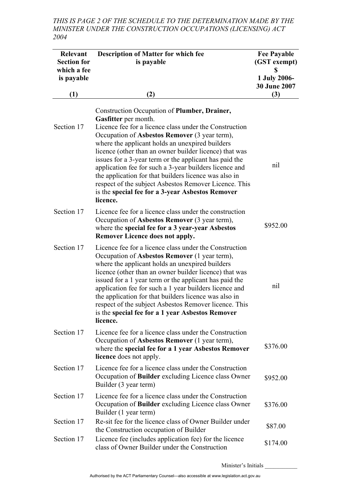*THIS IS PAGE 2 OF THE SCHEDULE TO THE DETERMINATION MADE BY THE MINISTER UNDER THE CONSTRUCTION OCCUPATIONS (LICENSING) ACT 2004* 

| Relevant<br><b>Section for</b><br>which a fee<br>is payable | <b>Description of Matter for which fee</b><br>is payable                                                                                                                                                                                                                                                                                                                                                                                                                                                                                                                                           | <b>Fee Payable</b><br>(GST exempt)<br>\$<br>1 July 2006- |
|-------------------------------------------------------------|----------------------------------------------------------------------------------------------------------------------------------------------------------------------------------------------------------------------------------------------------------------------------------------------------------------------------------------------------------------------------------------------------------------------------------------------------------------------------------------------------------------------------------------------------------------------------------------------------|----------------------------------------------------------|
| (1)                                                         | (2)                                                                                                                                                                                                                                                                                                                                                                                                                                                                                                                                                                                                | <b>30 June 2007</b><br>(3)                               |
| Section 17                                                  | Construction Occupation of Plumber, Drainer,<br>Gasfitter per month.<br>Licence fee for a licence class under the Construction<br>Occupation of Asbestos Remover (3 year term),<br>where the applicant holds an unexpired builders<br>licence (other than an owner builder licence) that was<br>issues for a 3-year term or the applicant has paid the<br>application fee for such a 3-year builders licence and<br>the application for that builders licence was also in<br>respect of the subject Asbestos Remover Licence. This<br>is the special fee for a 3-year Asbestos Remover<br>licence. | nil                                                      |
| Section 17                                                  | Licence fee for a licence class under the construction<br>Occupation of Asbestos Remover (3 year term),<br>where the special fee for a 3 year-year Asbestos<br><b>Remover Licence does not apply.</b>                                                                                                                                                                                                                                                                                                                                                                                              | \$952.00                                                 |
| Section 17                                                  | Licence fee for a licence class under the Construction<br>Occupation of Asbestos Remover (1 year term),<br>where the applicant holds an unexpired builders<br>licence (other than an owner builder licence) that was<br>issued for a 1 year term or the applicant has paid the<br>application fee for such a 1 year builders licence and<br>the application for that builders licence was also in<br>respect of the subject Asbestos Remover licence. This<br>is the special fee for a 1 year Asbestos Remover<br>licence.                                                                         | nil                                                      |
| Section 17                                                  | Licence fee for a licence class under the Construction<br>Occupation of Asbestos Remover (1 year term),<br>where the special fee for a 1 year Asbestos Remover<br>licence does not apply.                                                                                                                                                                                                                                                                                                                                                                                                          | \$376.00                                                 |
| Section 17                                                  | Licence fee for a licence class under the Construction<br>Occupation of Builder excluding Licence class Owner<br>Builder (3 year term)                                                                                                                                                                                                                                                                                                                                                                                                                                                             | \$952.00                                                 |
| Section 17                                                  | Licence fee for a licence class under the Construction<br>Occupation of <b>Builder</b> excluding Licence class Owner<br>Builder (1 year term)                                                                                                                                                                                                                                                                                                                                                                                                                                                      | \$376.00                                                 |
| Section 17                                                  | Re-sit fee for the licence class of Owner Builder under<br>the Construction occupation of Builder                                                                                                                                                                                                                                                                                                                                                                                                                                                                                                  | \$87.00                                                  |
| Section 17                                                  | Licence fee (includes application fee) for the licence<br>class of Owner Builder under the Construction                                                                                                                                                                                                                                                                                                                                                                                                                                                                                            | \$174.00                                                 |

Minister's Initials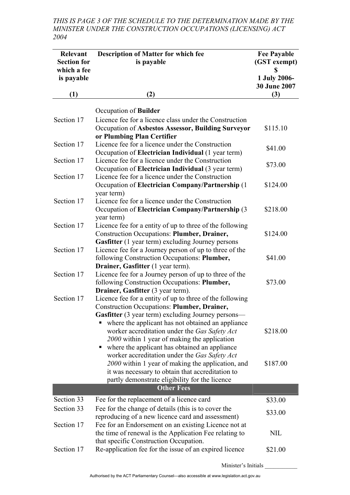*THIS IS PAGE 3 OF THE SCHEDULE TO THE DETERMINATION MADE BY THE MINISTER UNDER THE CONSTRUCTION OCCUPATIONS (LICENSING) ACT 2004* 

| Relevant<br><b>Section for</b><br>which a fee<br>is payable | <b>Description of Matter for which fee</b><br>is payable                                                                                                                                                 | <b>Fee Payable</b><br>(GST exempt)<br>S<br>1 July 2006-<br><b>30 June 2007</b> |
|-------------------------------------------------------------|----------------------------------------------------------------------------------------------------------------------------------------------------------------------------------------------------------|--------------------------------------------------------------------------------|
| (1)                                                         | (2)                                                                                                                                                                                                      | (3)                                                                            |
|                                                             | Occupation of <b>Builder</b>                                                                                                                                                                             |                                                                                |
| Section 17                                                  | Licence fee for a licence class under the Construction<br>Occupation of Asbestos Assessor, Building Surveyor<br>or Plumbing Plan Certifier                                                               | \$115.10                                                                       |
| Section 17                                                  | Licence fee for a licence under the Construction<br>Occupation of Electrician Individual (1 year term)                                                                                                   | \$41.00                                                                        |
| Section 17                                                  | Licence fee for a licence under the Construction<br>Occupation of Electrician Individual (3 year term)                                                                                                   | \$73.00                                                                        |
| Section 17                                                  | Licence fee for a licence under the Construction<br>Occupation of Electrician Company/Partnership (1)<br>year term)                                                                                      | \$124.00                                                                       |
| Section 17                                                  | Licence fee for a licence under the Construction<br>Occupation of Electrician Company/Partnership (3<br>year term)                                                                                       | \$218.00                                                                       |
| Section 17                                                  | Licence fee for a entity of up to three of the following<br><b>Construction Occupations: Plumber, Drainer,</b><br><b>Gasfitter</b> (1 year term) excluding Journey persons                               | \$124.00                                                                       |
| Section 17                                                  | Licence fee for a Journey person of up to three of the<br>following Construction Occupations: Plumber,                                                                                                   | \$41.00                                                                        |
| Section 17                                                  | Drainer, Gasfitter (1 year term).<br>Licence fee for a Journey person of up to three of the<br>following Construction Occupations: Plumber,<br>Drainer, Gasfitter (3 year term).                         | \$73.00                                                                        |
| Section 17                                                  | Licence fee for a entity of up to three of the following<br><b>Construction Occupations: Plumber, Drainer,</b><br><b>Gasfitter</b> (3 year term) excluding Journey persons—                              |                                                                                |
|                                                             | where the applicant has not obtained an appliance<br>worker accreditation under the Gas Safety Act<br>2000 within 1 year of making the application<br>where the applicant has obtained an appliance<br>п | \$218.00                                                                       |
|                                                             | worker accreditation under the Gas Safety Act<br>2000 within 1 year of making the application, and<br>it was necessary to obtain that accreditation to<br>partly demonstrate eligibility for the licence | \$187.00                                                                       |
|                                                             | <b>Other Fees</b>                                                                                                                                                                                        |                                                                                |
| Section 33<br>Section 33                                    | Fee for the replacement of a licence card                                                                                                                                                                | \$33.00                                                                        |
|                                                             | Fee for the change of details (this is to cover the<br>reproducing of a new licence card and assessment)                                                                                                 | \$33.00                                                                        |
| Section 17                                                  | Fee for an Endorsement on an existing Licence not at<br>the time of renewal is the Application Fee relating to<br>that specific Construction Occupation.                                                 | <b>NIL</b>                                                                     |
| Section 17                                                  | Re-application fee for the issue of an expired licence                                                                                                                                                   | \$21.00                                                                        |
|                                                             | Minister's Initials                                                                                                                                                                                      |                                                                                |

Authorised by the ACT Parliamentary Counsel—also accessible at www.legislation.act.gov.au